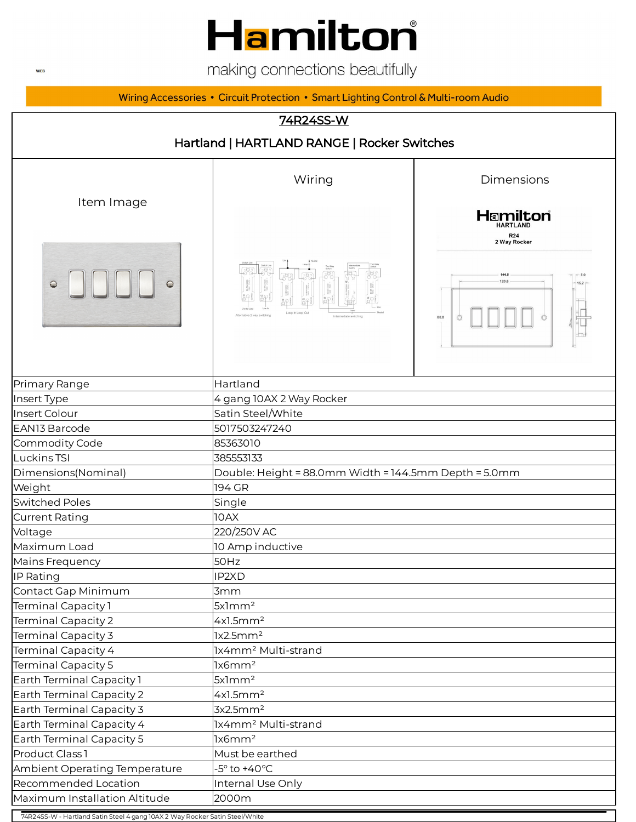# Hamilton®

making connections beautifully

Wiring Accessories • Circuit Protection • Smart Lighting Control & Multi-room Audio

#### 74R24SS-W



74R24SS-W - Hartland Satin Steel 4 gang 10AX 2 Way Rocker Satin Steel/White

**WEB**